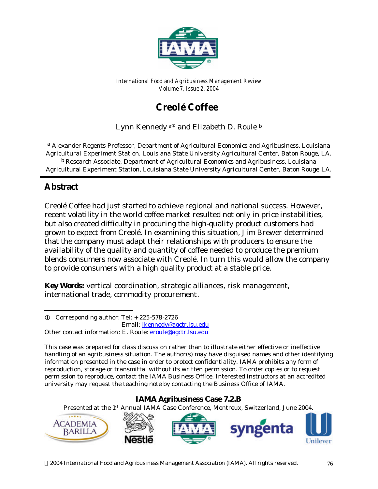

*International Food and Agribusiness Management Review Volume 7, Issue 2, 2004*

# **Creolé Coffee**

## Lynn Kennedy <sup>a®</sup> and Elizabeth D. Roule b

a *Alexander Regents Professor, Department of Agricultural Economics and Agribusiness, Louisiana Agricultural Experiment Station, Louisiana State University Agricultural Center, Baton Rouge, LA.* b *Research Associate, Department of Agricultural Economics and Agribusiness, Louisiana Agricultural Experiment Station, Louisiana State University Agricultural Center, Baton Rouge, LA.*

# **Abstract**

l

Creolé Coffee had just started to achieve regional and national success. However, recent volatility in the world coffee market resulted not only in price instabilities, but also created difficulty in procuring the high-quality product customers had grown to expect from Creolé. In examining this situation, Jim Brewer determined that the company must adapt their relationships with producers to ensure the availability of the quality and quantity of coffee needed to produce the premium blends consumers now associate with Creolé. In turn this would allow the company to provide consumers with a high quality product at a stable price.

**Key Words:** vertical coordination, strategic alliances, risk management, international trade, commodity procurement.

#### **IAMA Agribusiness Case 7.2.B**

Presented at the 1st Annual IAMA Case Conference, Montreux, Switzerland, June 2004.



 $Q$  Corresponding author: Tel:  $+ 225-578-2726$  Email: lkennedy@agctr.lsu.edu Other contact information: E. Roule: eroule@agctr.lsu.edu

*This case was prepared for class discussion rather than to illustrate either effective or ineffective handling of an agribusiness situation. The author(s) may have disguised names and other identifying information presented in the case in order to protect confidentiality. IAMA prohibits any form of reproduction, storage or transmittal without its written permission. To order copies or to request permission to reproduce, contact the IAMA Business Office. Interested instructors at an accredited university may request the teaching note by contacting the Business Office of IAMA.*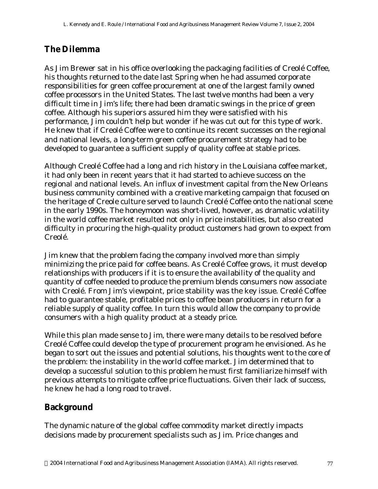### **The Dilemma**

As Jim Brewer sat in his office overlooking the packaging facilities of Creolé Coffee, his thoughts returned to the date last Spring when he had assumed corporate responsibilities for green coffee procurement at one of the largest family owned coffee processors in the United States. The last twelve months had been a very difficult time in Jim's life; there had been dramatic swings in the price of green coffee. Although his superiors assured him they were satisfied with his performance, Jim couldn't help but wonder if he was cut out for this type of work. He knew that if Creolé Coffee were to continue its recent successes on the regional and national levels, a long-term green coffee procurement strategy had to be developed to guarantee a sufficient supply of quality coffee at stable prices.

Although Creolé Coffee had a long and rich history in the Louisiana coffee market, it had only been in recent years that it had started to achieve success on the regional and national levels. An influx of investment capital from the New Orleans business community combined with a creative marketing campaign that focused on the heritage of Creole culture served to launch Creolé Coffee onto the national scene in the early 1990s. The honeymoon was short-lived, however, as dramatic volatility in the world coffee market resulted not only in price instabilities, but also created difficulty in procuring the high-quality product customers had grown to expect from Creolé.

Jim knew that the problem facing the company involved more than simply minimizing the price paid for coffee beans. As Creolé Coffee grows, it must develop relationships with producers if it is to ensure the availability of the quality and quantity of coffee needed to produce the premium blends consumers now associate with Creolé. From Jim's viewpoint, price stability was the key issue. Creolé Coffee had to guarantee stable, profitable prices to coffee bean producers in return for a reliable supply of quality coffee. In turn this would allow the company to provide consumers with a high quality product at a steady price.

While this plan made sense to Jim, there were many details to be resolved before Creolé Coffee could develop the type of procurement program he envisioned. As he began to sort out the issues and potential solutions, his thoughts went to the core of the problem: the instability in the world coffee market. Jim determined that to develop a successful solution to this problem he must first familiarize himself with previous attempts to mitigate coffee price fluctuations. Given their lack of success, he knew he had a long road to travel.

# **Background**

The dynamic nature of the global coffee commodity market directly impacts decisions made by procurement specialists such as Jim. Price changes and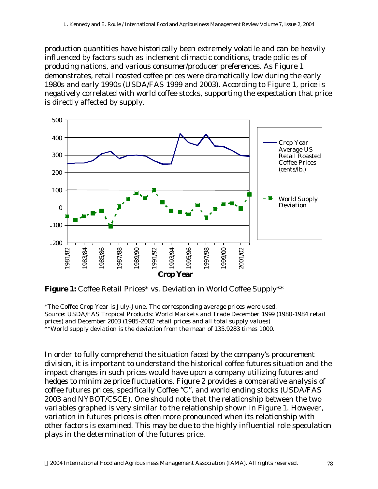production quantities have historically been extremely volatile and can be heavily influenced by factors such as inclement climactic conditions, trade policies of producing nations, and various consumer/producer preferences. As Figure 1 demonstrates, retail roasted coffee prices were dramatically low during the early 1980s and early 1990s (USDA/FAS 1999 and 2003). According to Figure 1, price is negatively correlated with world coffee stocks, supporting the expectation that price is directly affected by supply.



Figure 1: Coffee Retail Prices\* vs. Deviation in World Coffee Supply\*\*

\*The Coffee Crop Year is July-June. The corresponding average prices were used. Source: USDA/FAS Tropical Products: World Markets and Trade December 1999 (1980-1984 retail prices) and December 2003 (1985-2002 retail prices and all total supply values) \*\*World supply deviation is the deviation from the mean of 135.9283 times 1000.

In order to fully comprehend the situation faced by the company's procurement division, it is important to understand the historical coffee futures situation and the impact changes in such prices would have upon a company utilizing futures and hedges to minimize price fluctuations. Figure 2 provides a comparative analysis of coffee futures prices, specifically Coffee "C", and world ending stocks (USDA/FAS 2003 and NYBOT/CSCE). One should note that the relationship between the two variables graphed is very similar to the relationship shown in Figure 1. However, variation in futures prices is often more pronounced when its relationship with other factors is examined. This may be due to the highly influential role speculation plays in the determination of the futures price.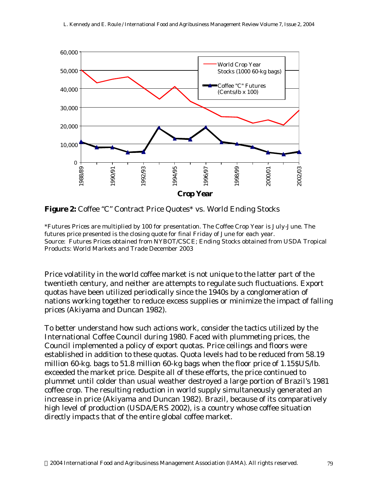

**Figure 2:** Coffee "C" Contract Price Quotes\* vs. World Ending Stocks

\*Futures Prices are multiplied by 100 for presentation. The Coffee Crop Year is July-June. The futures price presented is the closing quote for final Friday of June for each year. Source: Futures Prices obtained from NYBOT/CSCE; Ending Stocks obtained from USDA Tropical Products: World Markets and Trade December 2003

Price volatility in the world coffee market is not unique to the latter part of the twentieth century, and neither are attempts to regulate such fluctuations. Export quotas have been utilized periodically since the 1940s by a conglomeration of nations working together to reduce excess supplies or minimize the impact of falling prices (Akiyama and Duncan 1982).

To better understand how such actions work, consider the tactics utilized by the International Coffee Council during 1980. Faced with plummeting prices, the Council implemented a policy of export quotas. Price ceilings and floors were established in addition to these quotas. Quota levels had to be reduced from 58.19 million 60-kg. bags to 51.8 million 60-kg bags when the floor price of 1.15\$US/lb. exceeded the market price. Despite all of these efforts, the price continued to plummet until colder than usual weather destroyed a large portion of Brazil's 1981 coffee crop. The resulting reduction in world supply simultaneously generated an increase in price (Akiyama and Duncan 1982). Brazil, because of its comparatively high level of production (USDA/ERS 2002), is a country whose coffee situation directly impacts that of the entire global coffee market.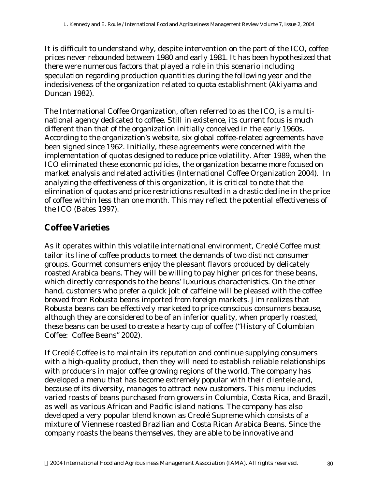It is difficult to understand why, despite intervention on the part of the ICO, coffee prices never rebounded between 1980 and early 1981. It has been hypothesized that there were numerous factors that played a role in this scenario including speculation regarding production quantities during the following year and the indecisiveness of the organization related to quota establishment (Akiyama and Duncan 1982).

The International Coffee Organization, often referred to as the ICO, is a multinational agency dedicated to coffee. Still in existence, its current focus is much different than that of the organization initially conceived in the early 1960s. According to the organization's website, six global coffee-related agreements have been signed since 1962. Initially, these agreements were concerned with the implementation of quotas designed to reduce price volatility. After 1989, when the ICO eliminated these economic policies, the organization became more focused on market analysis and related activities (International Coffee Organization 2004). In analyzing the effectiveness of this organization, it is critical to note that the elimination of quotas and price restrictions resulted in a drastic decline in the price of coffee within less than one month. This may reflect the potential effectiveness of the ICO (Bates 1997).

### **Coffee Varieties**

As it operates within this volatile international environment, Creolé Coffee must tailor its line of coffee products to meet the demands of two distinct consumer groups. Gourmet consumers enjoy the pleasant flavors produced by delicately roasted Arabica beans. They will be willing to pay higher prices for these beans, which directly corresponds to the beans' luxurious characteristics. On the other hand, customers who prefer a quick jolt of caffeine will be pleased with the coffee brewed from Robusta beans imported from foreign markets. Jim realizes that Robusta beans can be effectively marketed to price-conscious consumers because, although they are considered to be of an inferior quality, when properly roasted, these beans can be used to create a hearty cup of coffee ("History of Columbian Coffee: Coffee Beans" 2002).

If Creolé Coffee is to maintain its reputation and continue supplying consumers with a high-quality product, then they will need to establish reliable relationships with producers in major coffee growing regions of the world. The company has developed a menu that has become extremely popular with their clientele and, because of its diversity, manages to attract new customers. This menu includes varied roasts of beans purchased from growers in Columbia, Costa Rica, and Brazil, as well as various African and Pacific island nations. The company has also developed a very popular blend known as Creolé Supreme which consists of a mixture of Viennese roasted Brazilian and Costa Rican Arabica Beans. Since the company roasts the beans themselves, they are able to be innovative and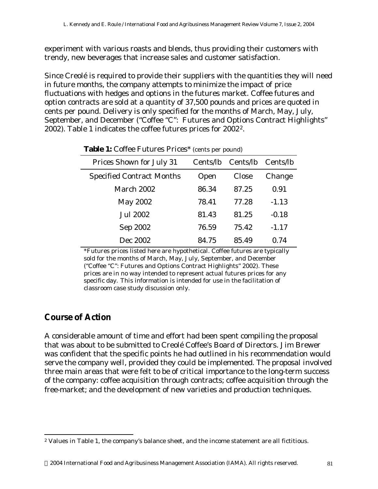experiment with various roasts and blends, thus providing their customers with trendy, new beverages that increase sales and customer satisfaction.

Since Creolé is required to provide their suppliers with the quantities they will need in future months, the company attempts to minimize the impact of price fluctuations with hedges and options in the futures market. Coffee futures and option contracts are sold at a quantity of 37,500 pounds and prices are quoted in cents per pound. Delivery is only specified for the months of March, May, July, September, and December ("Coffee "C": Futures and Options Contract Highlights" 2002). Table 1 indicates the coffee futures prices for 20022.

| Prices Shown for July 31         | Cents/lb    | Cents/lb | Cents/lb |
|----------------------------------|-------------|----------|----------|
| <b>Specified Contract Months</b> | <i>Open</i> | Close    | Change   |
| March 2002                       | 86.34       | 87.25    | 0.91     |
| May 2002                         | 78.41       | 77.28    | $-1.13$  |
| <b>Jul 2002</b>                  | 81.43       | 81.25    | $-0.18$  |
| Sep 2002                         | 76.59       | 75.42    | $-1.17$  |
| Dec 2002                         | 84.75       | 85.49    | 0.74     |

Table 1: Coffee Futures Prices<sup>\*</sup> (cents per pound)

\*Futures prices listed here are hypothetical. Coffee futures are typically sold for the months of March, May, July, September, and December ("Coffee "C": Futures and Options Contract Highlights" 2002). These prices are in no way intended to represent actual futures prices for any specific day. This information is intended for use in the facilitation of classroom case study discussion only.

## **Course of Action**

l

A considerable amount of time and effort had been spent compiling the proposal that was about to be submitted to Creolé Coffee's Board of Directors. Jim Brewer was confident that the specific points he had outlined in his recommendation would serve the company well, provided they could be implemented. The proposal involved three main areas that were felt to be of critical importance to the long-term success of the company: coffee acquisition through contracts; coffee acquisition through the free-market; and the development of new varieties and production techniques.

<sup>2</sup> Values in Table 1, the company's balance sheet, and the income statement are all fictitious.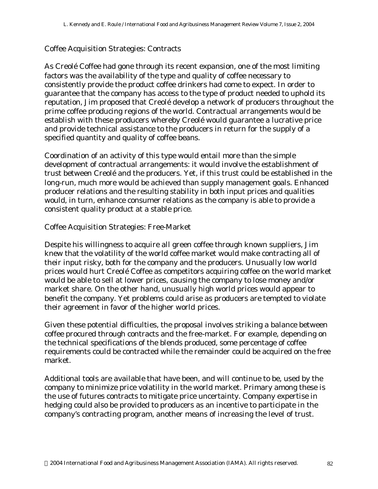#### *Coffee Acquisition Strategies: Contracts*

As Creolé Coffee had gone through its recent expansion, one of the most limiting factors was the availability of the type and quality of coffee necessary to consistently provide the product coffee drinkers had come to expect. In order to guarantee that the company has access to the type of product needed to uphold its reputation, Jim proposed that Creolé develop a network of producers throughout the prime coffee producing regions of the world. Contractual arrangements would be establish with these producers whereby Creolé would guarantee a lucrative price and provide technical assistance to the producers in return for the supply of a specified quantity and quality of coffee beans.

Coordination of an activity of this type would entail more than the simple development of contractual arrangements: it would involve the establishment of trust between Creolé and the producers. Yet, if this trust could be established in the long-run, much more would be achieved than supply management goals. Enhanced producer relations and the resulting stability in both input prices and qualities would, in turn, enhance consumer relations as the company is able to provide a consistent quality product at a stable price.

#### *Coffee Acquisition Strategies: Free-Market*

Despite his willingness to acquire all green coffee through known suppliers, Jim knew that the volatility of the world coffee market would make contracting all of their input risky, both for the company and the producers. Unusually low world prices would hurt Creolé Coffee as competitors acquiring coffee on the world market would be able to sell at lower prices, causing the company to lose money and/or market share. On the other hand, unusually high world prices would appear to benefit the company. Yet problems could arise as producers are tempted to violate their agreement in favor of the higher world prices.

Given these potential difficulties, the proposal involves striking a balance between coffee procured through contracts and the free-market. For example, depending on the technical specifications of the blends produced, some percentage of coffee requirements could be contracted while the remainder could be acquired on the free market.

Additional tools are available that have been, and will continue to be, used by the company to minimize price volatility in the world market. Primary among these is the use of futures contracts to mitigate price uncertainty. Company expertise in hedging could also be provided to producers as an incentive to participate in the company's contracting program, another means of increasing the level of trust.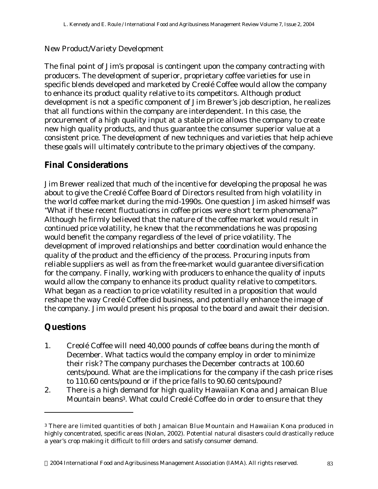#### *New Product/Variety Development*

The final point of Jim's proposal is contingent upon the company contracting with producers. The development of superior, proprietary coffee varieties for use in specific blends developed and marketed by Creolé Coffee would allow the company to enhance its product quality relative to its competitors. Although product development is not a specific component of Jim Brewer's job description, he realizes that all functions within the company are interdependent. In this case, the procurement of a high quality input at a stable price allows the company to create new high quality products, and thus guarantee the consumer superior value at a consistent price. The development of new techniques and varieties that help achieve these goals will ultimately contribute to the primary objectives of the company.

#### **Final Considerations**

Jim Brewer realized that much of the incentive for developing the proposal he was about to give the Creolé Coffee Board of Directors resulted from high volatility in the world coffee market during the mid-1990s. One question Jim asked himself was "What if these recent fluctuations in coffee prices were short term phenomena?" Although he firmly believed that the nature of the coffee market would result in continued price volatility, he knew that the recommendations he was proposing would benefit the company regardless of the level of price volatility. The development of improved relationships and better coordination would enhance the quality of the product and the efficiency of the process. Procuring inputs from reliable suppliers as well as from the free-market would guarantee diversification for the company. Finally, working with producers to enhance the quality of inputs would allow the company to enhance its product quality relative to competitors. What began as a reaction to price volatility resulted in a proposition that would reshape the way Creolé Coffee did business, and potentially enhance the image of the company. Jim would present his proposal to the board and await their decision.

### **Questions**

l

- 1. Creolé Coffee will need 40,000 pounds of coffee beans during the month of December. What tactics would the company employ in order to minimize their risk? The company purchases the December contracts at 100.60 cents/pound. What are the implications for the company if the cash price rises to 110.60 cents/pound or if the price falls to 90.60 cents/pound?
- 2. There is a high demand for high quality Hawaiian Kona and Jamaican Blue Mountain beans3. What could Creolé Coffee do in order to ensure that they

<sup>3</sup> There are limited quantities of both Jamaican Blue Mountain and Hawaiian Kona produced in highly concentrated, specific areas (Nolan, 2002). Potential natural disasters could drastically reduce a year's crop making it difficult to fill orders and satisfy consumer demand.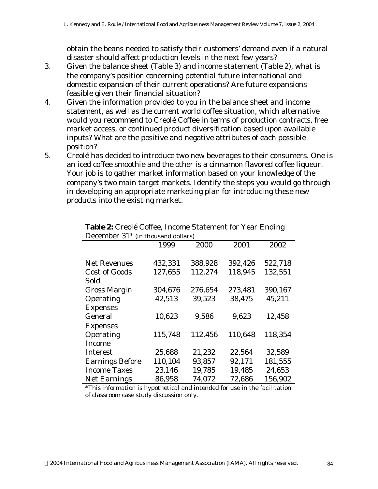obtain the beans needed to satisfy their customers' demand even if a natural disaster should affect production levels in the next few years?

- 3. Given the balance sheet (Table 3) and income statement (Table 2), what is the company's position concerning potential future international and domestic expansion of their current operations? Are future expansions feasible given their financial situation?
- 4. Given the information provided to you in the balance sheet and income statement, as well as the current world coffee situation, which alternative would you recommend to Creolé Coffee in terms of production contracts, free market access, or continued product diversification based upon available inputs? What are the positive and negative attributes of each possible position?
- 5. Creolé has decided to introduce two new beverages to their consumers. One is an iced coffee smoothie and the other is a cinnamon flavored coffee liqueur. Your job is to gather market information based on your knowledge of the company's two main target markets. Identify the steps you would go through in developing an appropriate marketing plan for introducing these new products into the existing market.

| December $51^{\circ}$ (in thousand dollars) |         |         |         |         |  |  |  |
|---------------------------------------------|---------|---------|---------|---------|--|--|--|
|                                             | 1999    | 2000    | 2001    | 2002    |  |  |  |
|                                             |         |         |         |         |  |  |  |
| <b>Net Revenues</b>                         | 432,331 | 388,928 | 392,426 | 522,718 |  |  |  |
| Cost of Goods                               | 127,655 | 112,274 | 118,945 | 132,551 |  |  |  |
| Sold                                        |         |         |         |         |  |  |  |
| <b>Gross Margin</b>                         | 304,676 | 276,654 | 273,481 | 390,167 |  |  |  |
| Operating                                   | 42,513  | 39,523  | 38,475  | 45,211  |  |  |  |
| <b>Expenses</b>                             |         |         |         |         |  |  |  |
| General                                     | 10,623  | 9,586   | 9,623   | 12,458  |  |  |  |
| <b>Expenses</b>                             |         |         |         |         |  |  |  |
| Operating                                   | 115,748 | 112,456 | 110,648 | 118,354 |  |  |  |
| Income                                      |         |         |         |         |  |  |  |
| Interest                                    | 25,688  | 21,232  | 22,564  | 32,589  |  |  |  |
| <b>Earnings Before</b>                      | 110,104 | 93,857  | 92,171  | 181,555 |  |  |  |
| <b>Income Taxes</b>                         | 23,146  | 19,785  | 19,485  | 24,653  |  |  |  |
| <b>Net Earnings</b>                         | 86,958  | 74,072  | 72,686  | 156,902 |  |  |  |

**Table 2:** Creolé Coffee, Income Statement for Year Ending  $D = 1.01$   $0.1$   $0.1$   $0.1$   $0.1$   $0.1$   $0.1$   $0.1$   $0.1$   $0.1$   $0.1$   $0.1$   $0.1$   $0.1$   $0.1$   $0.1$   $0.1$   $0.1$   $0.1$   $0.1$   $0.1$   $0.1$   $0.1$   $0.1$   $0.1$   $0.1$   $0.1$   $0.1$   $0.1$   $0.1$   $0.1$   $0.1$   $0.1$   $0.1$   $0.1$   $0.1$ 

\*This information is hypothetical and intended for use in the facilitation of classroom case study discussion only.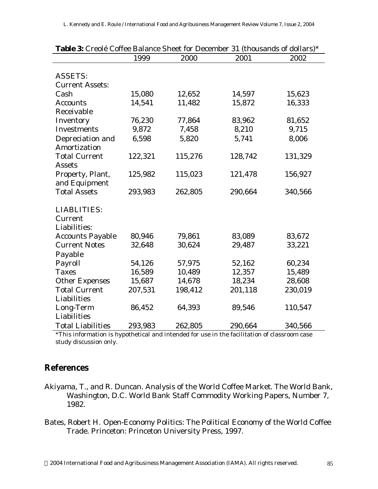|                          | 1999    | 2000    | 2001    | 2002    |
|--------------------------|---------|---------|---------|---------|
|                          |         |         |         |         |
| <b>ASSETS:</b>           |         |         |         |         |
| <b>Current Assets:</b>   |         |         |         |         |
| Cash                     | 15,080  | 12,652  | 14,597  | 15,623  |
| <b>Accounts</b>          | 14,541  | 11,482  | 15,872  | 16,333  |
| Receivable               |         |         |         |         |
| Inventory                | 76,230  | 77,864  | 83,962  | 81,652  |
| <b>Investments</b>       | 9,872   | 7,458   | 8,210   | 9,715   |
| Depreciation and         | 6,598   | 5,820   | 5,741   | 8,006   |
| Amortization             |         |         |         |         |
| <b>Total Current</b>     | 122,321 | 115,276 | 128,742 | 131,329 |
| <b>Assets</b>            |         |         |         |         |
| Property, Plant,         | 125,982 | 115,023 | 121,478 | 156,927 |
| and Equipment            |         |         |         |         |
| <b>Total Assets</b>      | 293,983 | 262,805 | 290,664 | 340,566 |
| <b>LIABLITIES:</b>       |         |         |         |         |
| Current                  |         |         |         |         |
| Liabilities:             |         |         |         |         |
| <b>Accounts Payable</b>  | 80,946  | 79,861  | 83,089  | 83,672  |
| <b>Current Notes</b>     | 32,648  | 30,624  | 29,487  | 33,221  |
|                          |         |         |         |         |
| Payable                  |         |         |         |         |
| Payroll                  | 54,126  | 57,975  | 52,162  | 60,234  |
| <b>Taxes</b>             | 16,589  | 10,489  | 12,357  | 15,489  |
| <b>Other Expenses</b>    | 15,687  | 14,678  | 18,234  | 28,608  |
| <b>Total Current</b>     | 207,531 | 198,412 | 201,118 | 230,019 |
| Liabilities              |         |         |         |         |
| Long-Term                | 86,452  | 64,393  | 89,546  | 110,547 |
| Liabilities              |         |         |         |         |
| <b>Total Liabilities</b> | 293,983 | 262,805 | 290,664 | 340,566 |

**Table 3:** Creolé Coffee Balance Sheet for December 31 (thousands of dollars)\*

\*This information is hypothetical and intended for use in the facilitation of classroom case study discussion only.

#### **References**

- Akiyama, T., and R. Duncan. *Analysis of the World Coffee Market*. The World Bank, Washington, D.C. World Bank Staff Commodity Working Papers, Number 7, 1982.
- Bates, Robert H. *Open-Economy Politics: The Political Economy of the World Coffee Trade*. Princeton: Princeton University Press, 1997.